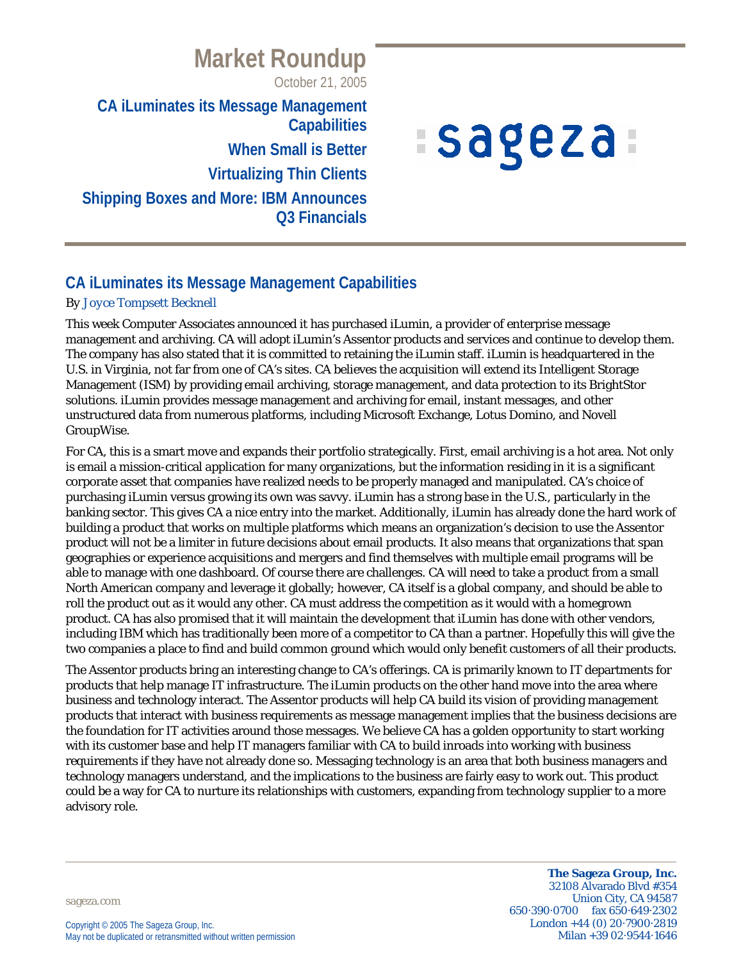## October 21, 2005 **CA iLuminates its Message Management Capabilities When Small is Better Virtualizing Thin Clients Shipping Boxes and More: IBM Announces Q3 Financials**

**Market Roundup**

# *Isageza*

## **CA iLuminates its Message Management Capabilities**

#### *By Joyce Tompsett Becknell*

This week Computer Associates announced it has purchased iLumin, a provider of enterprise message management and archiving. CA will adopt iLumin's Assentor products and services and continue to develop them. The company has also stated that it is committed to retaining the iLumin staff. iLumin is headquartered in the U.S. in Virginia, not far from one of CA's sites. CA believes the acquisition will extend its Intelligent Storage Management (ISM) by providing email archiving, storage management, and data protection to its BrightStor solutions. iLumin provides message management and archiving for email, instant messages, and other unstructured data from numerous platforms, including Microsoft Exchange, Lotus Domino, and Novell GroupWise.

For CA, this is a smart move and expands their portfolio strategically. First, email archiving is a hot area. Not only is email a mission-critical application for many organizations, but the information residing in it is a significant corporate asset that companies have realized needs to be properly managed and manipulated. CA's choice of purchasing iLumin versus growing its own was savvy. iLumin has a strong base in the U.S., particularly in the banking sector. This gives CA a nice entry into the market. Additionally, iLumin has already done the hard work of building a product that works on multiple platforms which means an organization's decision to use the Assentor product will not be a limiter in future decisions about email products. It also means that organizations that span geographies or experience acquisitions and mergers and find themselves with multiple email programs will be able to manage with one dashboard. Of course there are challenges. CA will need to take a product from a small North American company and leverage it globally; however, CA itself is a global company, and should be able to roll the product out as it would any other. CA must address the competition as it would with a homegrown product. CA has also promised that it will maintain the development that iLumin has done with other vendors, including IBM which has traditionally been more of a competitor to CA than a partner. Hopefully this will give the two companies a place to find and build common ground which would only benefit customers of all their products.

The Assentor products bring an interesting change to CA's offerings. CA is primarily known to IT departments for products that help manage IT infrastructure. The iLumin products on the other hand move into the area where business and technology interact. The Assentor products will help CA build its vision of providing management products that interact with business requirements as message management implies that the business decisions are the foundation for IT activities around those messages. We believe CA has a golden opportunity to start working with its customer base and help IT managers familiar with CA to build inroads into working with business requirements if they have not already done so. Messaging technology is an area that both business managers and technology managers understand, and the implications to the business are fairly easy to work out. This product could be a way for CA to nurture its relationships with customers, expanding from technology supplier to a more advisory role.

sageza.com

**The Sageza Group, Inc.** 32108 Alvarado Blvd #354 Union City, CA 94587 650·390·0700 fax 650·649·2302 London +44 (0) 20·7900·2819 Milan +39 02·9544·1646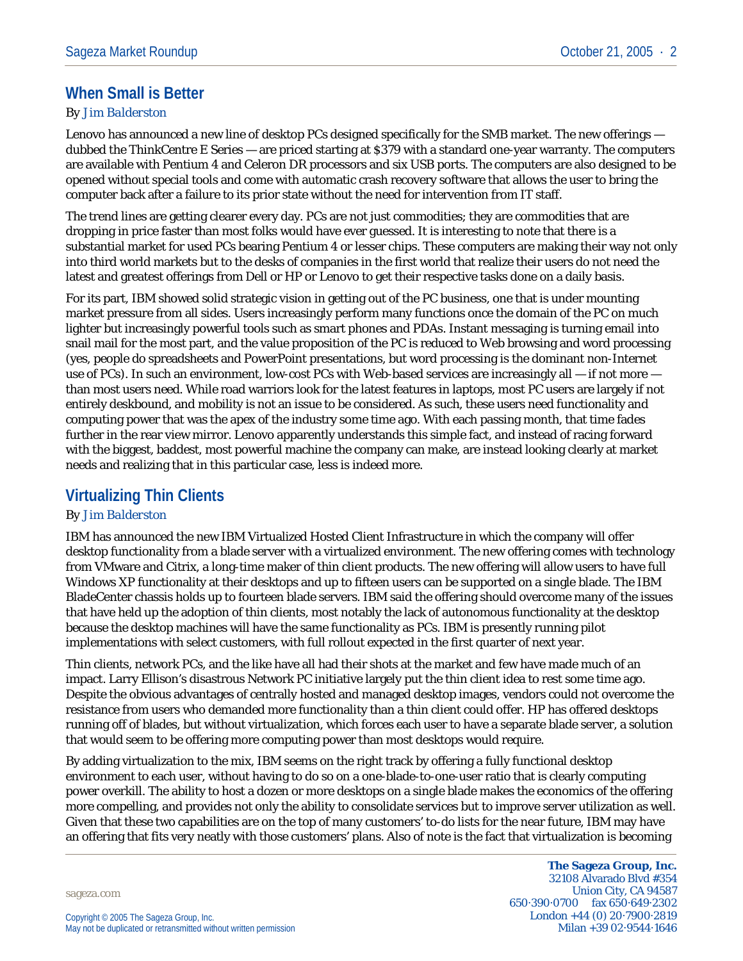## **When Small is Better**

#### *By Jim Balderston*

Lenovo has announced a new line of desktop PCs designed specifically for the SMB market. The new offerings dubbed the ThinkCentre E Series — are priced starting at \$379 with a standard one-year warranty. The computers are available with Pentium 4 and Celeron DR processors and six USB ports. The computers are also designed to be opened without special tools and come with automatic crash recovery software that allows the user to bring the computer back after a failure to its prior state without the need for intervention from IT staff.

The trend lines are getting clearer every day. PCs are not just commodities; they are commodities that are dropping in price faster than most folks would have ever guessed. It is interesting to note that there is a substantial market for used PCs bearing Pentium 4 or lesser chips. These computers are making their way not only into third world markets but to the desks of companies in the first world that realize their users do not need the latest and greatest offerings from Dell or HP or Lenovo to get their respective tasks done on a daily basis.

For its part, IBM showed solid strategic vision in getting out of the PC business, one that is under mounting market pressure from all sides. Users increasingly perform many functions once the domain of the PC on much lighter but increasingly powerful tools such as smart phones and PDAs. Instant messaging is turning email into snail mail for the most part, and the value proposition of the PC is reduced to Web browsing and word processing (yes, people do spreadsheets and PowerPoint presentations, but word processing is the dominant non-Internet use of PCs). In such an environment, low-cost PCs with Web-based services are increasingly all — if not more than most users need. While road warriors look for the latest features in laptops, most PC users are largely if not entirely deskbound, and mobility is not an issue to be considered. As such, these users need functionality and computing power that was the apex of the industry some time ago. With each passing month, that time fades further in the rear view mirror. Lenovo apparently understands this simple fact, and instead of racing forward with the biggest, baddest, most powerful machine the company can make, are instead looking clearly at market needs and realizing that in this particular case, less is indeed more.

### **Virtualizing Thin Clients**

#### *By Jim Balderston*

IBM has announced the new IBM Virtualized Hosted Client Infrastructure in which the company will offer desktop functionality from a blade server with a virtualized environment. The new offering comes with technology from VMware and Citrix, a long-time maker of thin client products. The new offering will allow users to have full Windows XP functionality at their desktops and up to fifteen users can be supported on a single blade. The IBM BladeCenter chassis holds up to fourteen blade servers. IBM said the offering should overcome many of the issues that have held up the adoption of thin clients, most notably the lack of autonomous functionality at the desktop because the desktop machines will have the same functionality as PCs. IBM is presently running pilot implementations with select customers, with full rollout expected in the first quarter of next year.

Thin clients, network PCs, and the like have all had their shots at the market and few have made much of an impact. Larry Ellison's disastrous Network PC initiative largely put the thin client idea to rest some time ago. Despite the obvious advantages of centrally hosted and managed desktop images, vendors could not overcome the resistance from users who demanded more functionality than a thin client could offer. HP has offered desktops running off of blades, but without virtualization, which forces each user to have a separate blade server, a solution that would seem to be offering more computing power than most desktops would require.

By adding virtualization to the mix, IBM seems on the right track by offering a fully functional desktop environment to each user, without having to do so on a one-blade-to-one-user ratio that is clearly computing power overkill. The ability to host a dozen or more desktops on a single blade makes the economics of the offering more compelling, and provides not only the ability to consolidate services but to improve server utilization as well. Given that these two capabilities are on the top of many customers' to-do lists for the near future, IBM may have an offering that fits very neatly with those customers' plans. Also of note is the fact that virtualization is becoming

sageza.com

**The Sageza Group, Inc.** 32108 Alvarado Blvd #354 Union City, CA 94587 650·390·0700 fax 650·649·2302 London +44 (0) 20·7900·2819 Milan +39 02·9544·1646